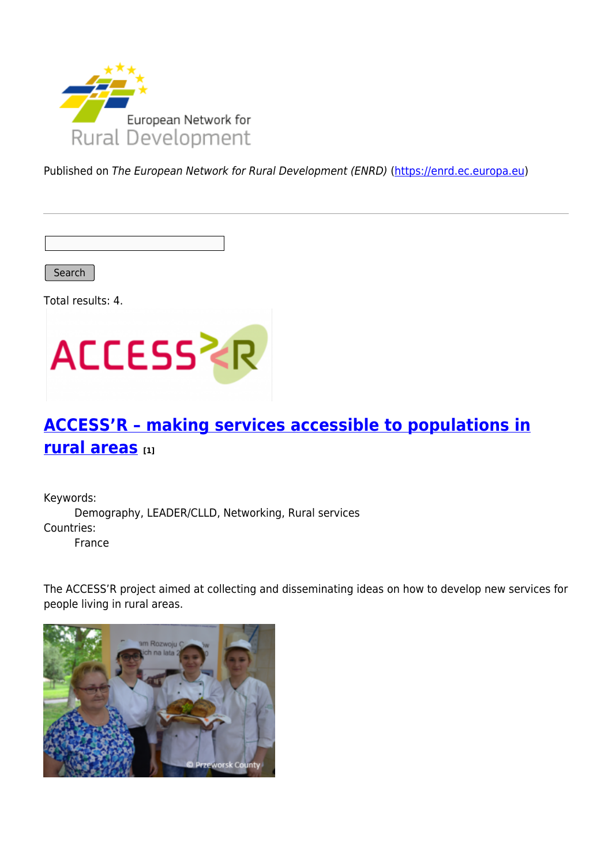

Published on The European Network for Rural Development (ENRD) [\(https://enrd.ec.europa.eu](https://enrd.ec.europa.eu))

Search

Total results: 4.



# **[ACCESS'R – making services accessible to populations in](https://enrd.ec.europa.eu/projects-practice/accessr-making-services-accessible-populations-rural-areas_en) [rural areas](https://enrd.ec.europa.eu/projects-practice/accessr-making-services-accessible-populations-rural-areas_en) [1]**

Keywords: Demography, LEADER/CLLD, Networking, Rural services Countries: France

The ACCESS'R project aimed at collecting and disseminating ideas on how to develop new services for people living in rural areas.

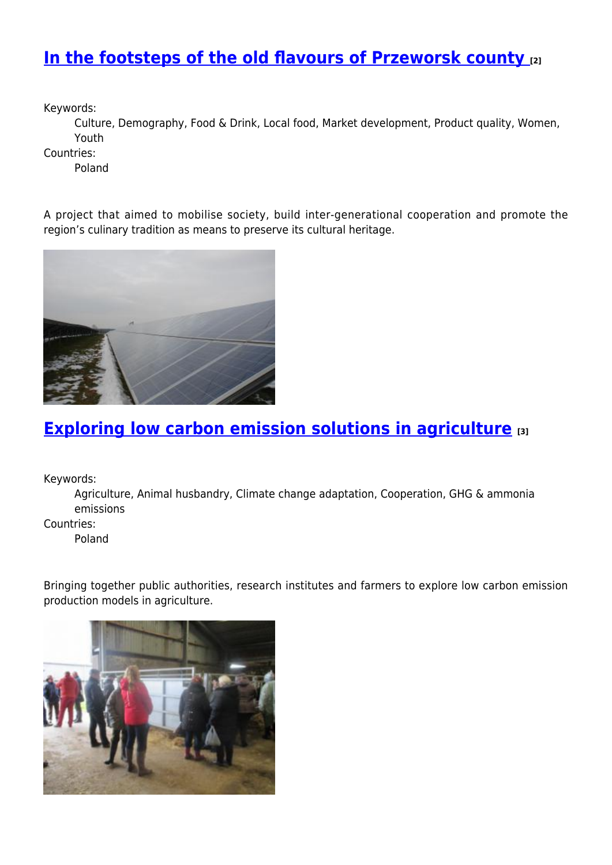## **[In the footsteps of the old flavours of Przeworsk county](https://enrd.ec.europa.eu/projects-practice/footsteps-old-flavours-przeworsk-county_en) [2]**

Keywords:

Culture, Demography, Food & Drink, Local food, Market development, Product quality, Women, Youth

Countries:

Poland

A project that aimed to mobilise society, build inter-generational cooperation and promote the region's culinary tradition as means to preserve its cultural heritage.



## **[Exploring low carbon emission solutions in agriculture](https://enrd.ec.europa.eu/projects-practice/exploring-low-carbon-emission-solutions-agriculture_en) [3]**

Keywords:

Agriculture, Animal husbandry, Climate change adaptation, Cooperation, GHG & ammonia emissions

Countries:

Poland

Bringing together public authorities, research institutes and farmers to explore low carbon emission production models in agriculture.